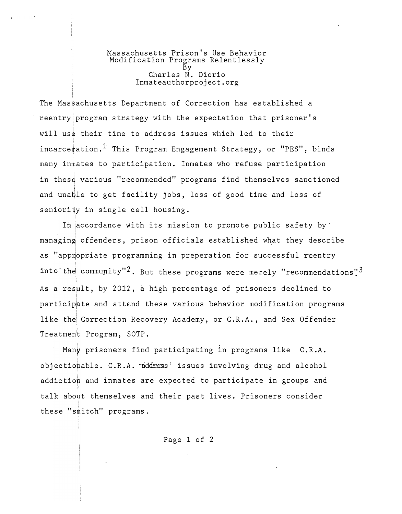Massachusetts Prison's Use Behavior<br>Modification Programs Relentlessly Charles N. Diorio Inmateauthorproject.org

The Massachusetts Department of Correction has established a reentry program strategy with the expectation that prisoner's will use their time to address issues which led to their incarceration.<sup>1</sup> This Program Engagement Strategy, or "PES", binds many inmates to participation. Inmates who refuse participation in these various "recommended" programs find themselves sanctioned and unable to get facility jobs, loss of good time and loss of seniority in single cell housing.

In accordance with its mission to promote public safety by managing offenders, prison officials established what they describe as "appropriate programming in preperation for successful reentry into the community"<sup>2</sup>. But these programs were merely "recommendations"<sup>3</sup> As a result, by 2012, a high percentage of prisoners declined to participate and attend these various behavior modification programs like the Correction Recovery Academy, or C.R.A., and Sex Offender Treatment Program, SOTP.

Many prisoners find participating in programs like C.R.A. objectionable. C.R.A. address' issues involving drug and alcohol addiction and inmates are expected to participate in groups and talk about themselves and their past lives. Prisoners consider these "smitch" programs.

Page 1 of 2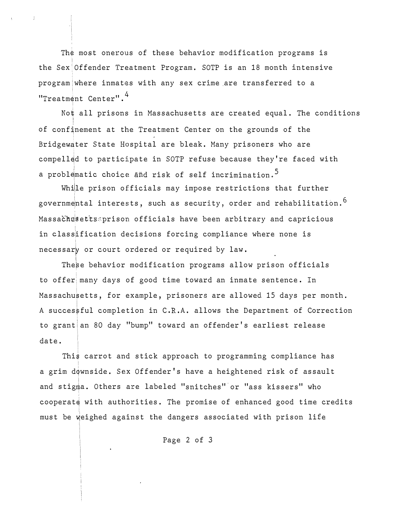The most onerous of these behavior modification programs is the Sex Offender Treatment Program. SOTP is an 18 month intensive program where inmates with any sex crime are transferred to a "Treatment Center".<sup>4</sup>

Not all prisons in Massachusetts are created equal. The conditions of confinement at the Treatment Center on the grounds of the Bridgewater State Hospital are bleak. Many prisoners who are compell�d to participate in SOTP refuse because they're faced with a problematic choice and risk of self incrimination.<sup>5</sup>

While prison officials may impose restrictions that further governmental interests, such as security, order and rehabilitation.<sup>6</sup> Massachusettssprison officials have been arbitrary and capricious in classification decisions forcing compliance where none is necessary or court ordered or required by law.

These behavior modification programs allow prison officials to offer many days of good time toward an inmate sentence. In Massachusetts, for example, prisoners are allowed 15 days per month. A succes�ful completion in C.R.A. allows the Department of Correction to grant an 80 day "bump" toward an offender's earliest release date.

This carrot and stick approach to programming compliance has a grim downside. Sex Offender's have a heightened risk of assault and stigma. Others are labeled "snitches" or "ass kissers" who I cooperate with authorities. The promise of enhanced good time credits must be weighed against the dangers associated with prison life

Page 2 of 3